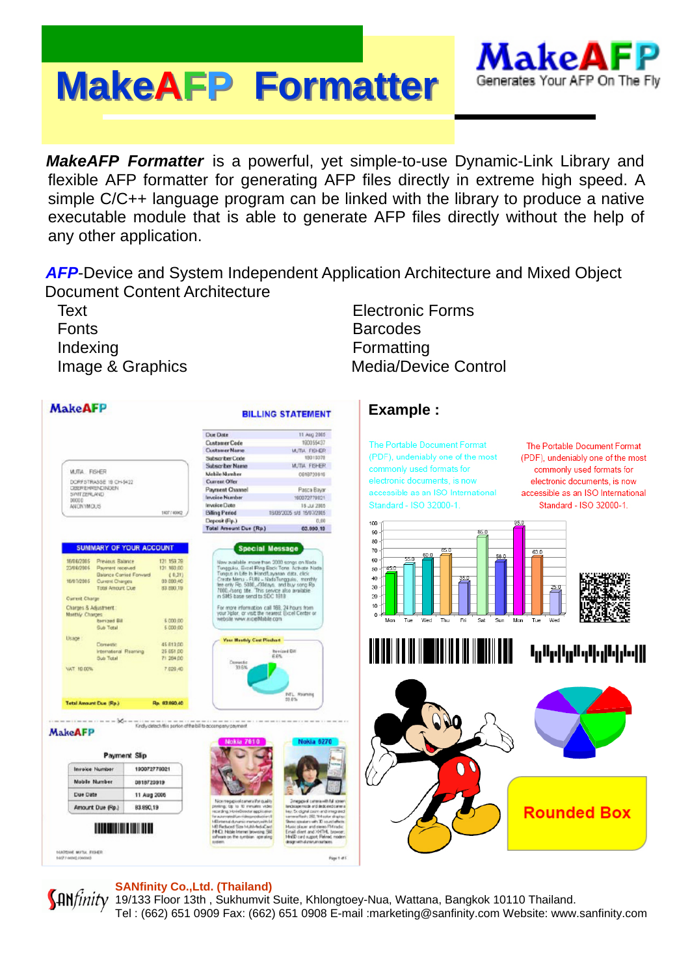# **MakeAFP Formatter Formatter**



*MakeAFP Formatter* is a powerful, yet simple-to-use Dynamic-Link Library and flexible AFP formatter for generating AFP files directly in extreme high speed. A simple C/C++ language program can be linked with the library to produce a native executable module that is able to generate AFP files directly without the help of any other application.

**AFP-Device and System Independent Application Architecture and Mixed Object** Document Content Architecture

Text Electronic Forms Fonts **Barcodes** Indexing **Formatting** Image & Graphics Media/Device Control

**MakeAFP Example : BILLING STATEMENT** Due Date 11 Aug 2005 **Customer Code** 190055437 The Portable Document Format The Portable Document Format Customer Name WITH FISHER (PDF), undeniably one of the most Subscriber Code **MOLESN** (PDF), undeniably one of the most **MUTH FISHER** Subscriber Name commonly used formats for commonly used formats for **WJTA**, FISHER Mehile Mumber 0618720916 DORF STRASSE 19 CH-5422<br>DEEFEHRENDINGEN<br>SYNT DERLAND<br>MODO electronic documents, is now Current Offer electronic documents, is now Payment Channel<br>Invoice Number Pasca Bayar accessible as an ISO International accessible as an ISO International 100072779021 Standard - ISO 32000-1. Standard - ISO 32000-1. AUCROMOUS Invoice Date 16.32.2005 100770002 **Billing Period** 18/08/2025 s/d 15/07/2015 Deposit (Rp.) 100 Total Amount Due (Rp.) 63,690.10 90 80 SUMMARY OF YOUR ACCOUNT Special Message  $70$ New available more from 2000 songs on Nach<br>Toeggales, Excel Flory Back Toes Activate Nach<br>Toeggales, Excel Flory Back Toes Activate Nach<br>Create Meru - FUN - Nach<br>Toeggales, and by song Flory Section 2014<br>New York Difful, 60 16/06/2005 **Previous Balance**<br>Payment received 121 159.79 23/08/2005 50 00,000 151<br>(10,21)<br>(10,000 00 yment received<br>Isnce Camed For<br>zrent Charces  $40$ 16/01/2005 Curr neri Charges<br>tal Amourt Cu<mark>e</mark> 83 890.19 <sub>30</sub> 20 Current Charge Charges & Adjustment:<br>Monthly Charges<br>Bub Total<br>Sub Total more information call 168, 24 hours from<br>"Xplor, or visit the nearest Excel Center or<br>site www.excelMobile.com  $10^{-1}$ \$ 000.00 Usage **Hasfaly Cest Pleshart** <u>TIE IIEI IIE III IIE IIEI IIE III IIEIII IIEII</u> Conemo 45 813 00 **Tulled In The Telefonia** International Reaming **Bevized Diff**<br>R-RM 25 661 00 **Bub Total** 71,284.00 VAT 10.00% 7.628.40 NTL Raimm **Tetal Amount Due (Rp.)** Re. 82.990.40 main and main and main the form Kindly detect this perion of the bill to eco. **MakeAFP Payment Slip** n **Invoice Number** 190072779021 Mobile Number 0818720919 Due Date 11 Aug 2006 epipiolisanera Potquality<br>48 to 10 mmates video Amount Due (Rp.) 83,890,19 **Rounded Box THE REAL PROPERTY AND** 14.070/06 MIFTAL PISHER **Page 1-d** 

### **SANfinity Co.,Ltd. (Thailand)**

**HR** finity 19/133 Floor 13th, Sukhumvit Suite, Khlongtoey-Nua, Wattana, Bangkok 10110 Thailand. Tel : (662) 651 0909 Fax: (662) 651 0908 E-mail :marketing@sanfinity.com Website: www.sanfinity.com